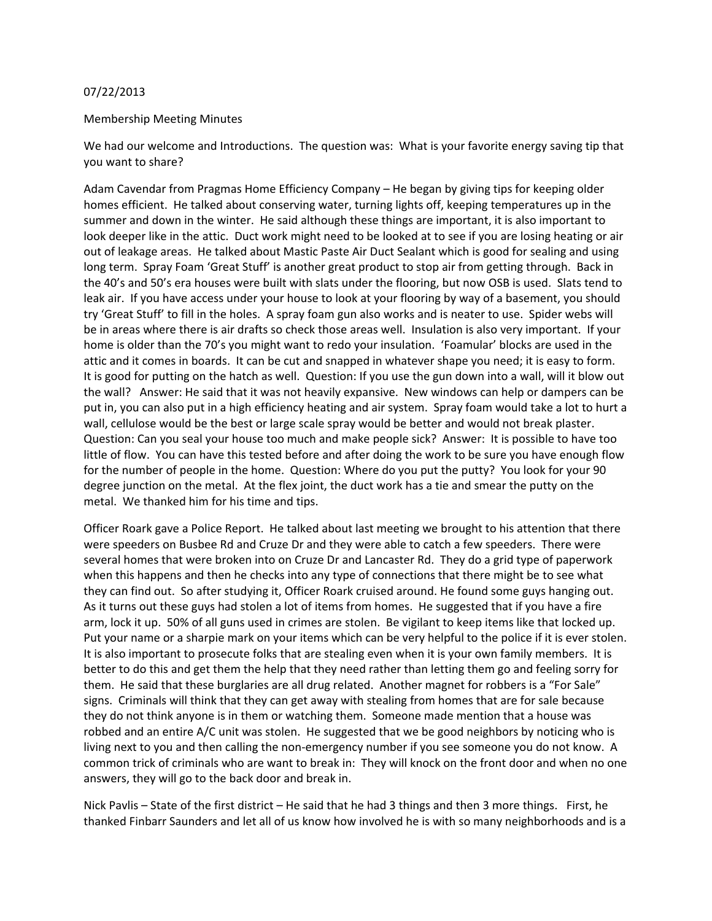## 07/22/2013

## Membership Meeting Minutes

We had our welcome and Introductions. The question was: What is your favorite energy saving tip that you want to share?

Adam Cavendar from Pragmas Home Efficiency Company – He began by giving tips for keeping older homes efficient. He talked about conserving water, turning lights off, keeping temperatures up in the summer and down in the winter. He said although these things are important, it is also important to look deeper like in the attic. Duct work might need to be looked at to see if you are losing heating or air out of leakage areas. He talked about Mastic Paste Air Duct Sealant which is good for sealing and using long term. Spray Foam 'Great Stuff' is another great product to stop air from getting through. Back in the 40's and 50's era houses were built with slats under the flooring, but now OSB is used. Slats tend to leak air. If you have access under your house to look at your flooring by way of a basement, you should try 'Great Stuff' to fill in the holes. A spray foam gun also works and is neater to use. Spider webs will be in areas where there is air drafts so check those areas well. Insulation is also very important. If your home is older than the 70's you might want to redo your insulation. 'Foamular' blocks are used in the attic and it comes in boards. It can be cut and snapped in whatever shape you need; it is easy to form. It is good for putting on the hatch as well. Question: If you use the gun down into a wall, will it blow out the wall? Answer: He said that it was not heavily expansive. New windows can help or dampers can be put in, you can also put in a high efficiency heating and air system. Spray foam would take a lot to hurt a wall, cellulose would be the best or large scale spray would be better and would not break plaster. Question: Can you seal your house too much and make people sick? Answer: It is possible to have too little of flow. You can have this tested before and after doing the work to be sure you have enough flow for the number of people in the home. Question: Where do you put the putty? You look for your 90 degree junction on the metal. At the flex joint, the duct work has a tie and smear the putty on the metal. We thanked him for his time and tips.

Officer Roark gave a Police Report. He talked about last meeting we brought to his attention that there were speeders on Busbee Rd and Cruze Dr and they were able to catch a few speeders. There were several homes that were broken into on Cruze Dr and Lancaster Rd. They do a grid type of paperwork when this happens and then he checks into any type of connections that there might be to see what they can find out. So after studying it, Officer Roark cruised around. He found some guys hanging out. As it turns out these guys had stolen a lot of items from homes. He suggested that if you have a fire arm, lock it up. 50% of all guns used in crimes are stolen. Be vigilant to keep items like that locked up. Put your name or a sharpie mark on your items which can be very helpful to the police if it is ever stolen. It is also important to prosecute folks that are stealing even when it is your own family members. It is better to do this and get them the help that they need rather than letting them go and feeling sorry for them. He said that these burglaries are all drug related. Another magnet for robbers is a "For Sale" signs. Criminals will think that they can get away with stealing from homes that are for sale because they do not think anyone is in them or watching them. Someone made mention that a house was robbed and an entire A/C unit was stolen. He suggested that we be good neighbors by noticing who is living next to you and then calling the non-emergency number if you see someone you do not know. A common trick of criminals who are want to break in: They will knock on the front door and when no one answers, they will go to the back door and break in.

Nick Pavlis – State of the first district – He said that he had 3 things and then 3 more things. First, he thanked Finbarr Saunders and let all of us know how involved he is with so many neighborhoods and is a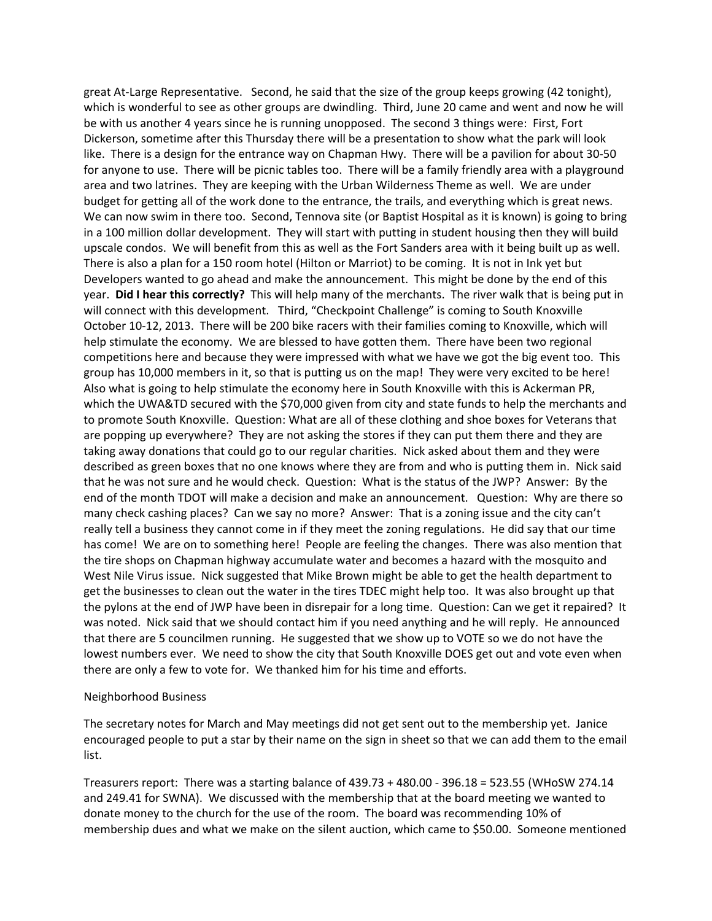great At-Large Representative. Second, he said that the size of the group keeps growing (42 tonight), which is wonderful to see as other groups are dwindling. Third, June 20 came and went and now he will be with us another 4 years since he is running unopposed. The second 3 things were: First, Fort Dickerson, sometime after this Thursday there will be a presentation to show what the park will look like. There is a design for the entrance way on Chapman Hwy. There will be a pavilion for about 30-50 for anyone to use. There will be picnic tables too. There will be a family friendly area with a playground area and two latrines. They are keeping with the Urban Wilderness Theme as well. We are under budget for getting all of the work done to the entrance, the trails, and everything which is great news. We can now swim in there too. Second, Tennova site (or Baptist Hospital as it is known) is going to bring in a 100 million dollar development. They will start with putting in student housing then they will build upscale condos. We will benefit from this as well as the Fort Sanders area with it being built up as well. There is also a plan for a 150 room hotel (Hilton or Marriot) to be coming. It is not in lnk yet but Developers wanted to go ahead and make the announcement. This might be done by the end of this year. Did I hear this correctly? This will help many of the merchants. The river walk that is being put in will connect with this development. Third, "Checkpoint Challenge" is coming to South Knoxville October 10-12, 2013. There will be 200 bike racers with their families coming to Knoxville, which will help stimulate the economy. We are blessed to have gotten them. There have been two regional competitions here and because they were impressed with what we have we got the big event too. This group has 10,000 members in it, so that is putting us on the map! They were very excited to be here! Also what is going to help stimulate the economy here in South Knoxville with this is Ackerman PR, which the UWA&TD secured with the \$70,000 given from city and state funds to help the merchants and to promote South Knoxville. Question: What are all of these clothing and shoe boxes for Veterans that are popping up everywhere? They are not asking the stores if they can put them there and they are taking away donations that could go to our regular charities. Nick asked about them and they were described as green boxes that no one knows where they are from and who is putting them in. Nick said that he was not sure and he would check. Question: What is the status of the JWP? Answer: By the end of the month TDOT will make a decision and make an announcement. Question: Why are there so many check cashing places? Can we say no more? Answer: That is a zoning issue and the city can't really tell a business they cannot come in if they meet the zoning regulations. He did say that our time has come! We are on to something here! People are feeling the changes. There was also mention that the tire shops on Chapman highway accumulate water and becomes a hazard with the mosquito and West Nile Virus issue. Nick suggested that Mike Brown might be able to get the health department to get the businesses to clean out the water in the tires TDEC might help too. It was also brought up that the pylons at the end of JWP have been in disrepair for a long time. Question: Can we get it repaired? It was noted. Nick said that we should contact him if you need anything and he will reply. He announced that there are 5 councilmen running. He suggested that we show up to VOTE so we do not have the lowest numbers ever. We need to show the city that South Knoxville DOES get out and vote even when there are only a few to vote for. We thanked him for his time and efforts.

## Neighborhood Business

The secretary notes for March and May meetings did not get sent out to the membership yet. Janice encouraged people to put a star by their name on the sign in sheet so that we can add them to the email list. 

Treasurers report: There was a starting balance of  $439.73 + 480.00 - 396.18 = 523.55$  (WHoSW 274.14 and 249.41 for SWNA). We discussed with the membership that at the board meeting we wanted to donate money to the church for the use of the room. The board was recommending 10% of membership dues and what we make on the silent auction, which came to \$50.00. Someone mentioned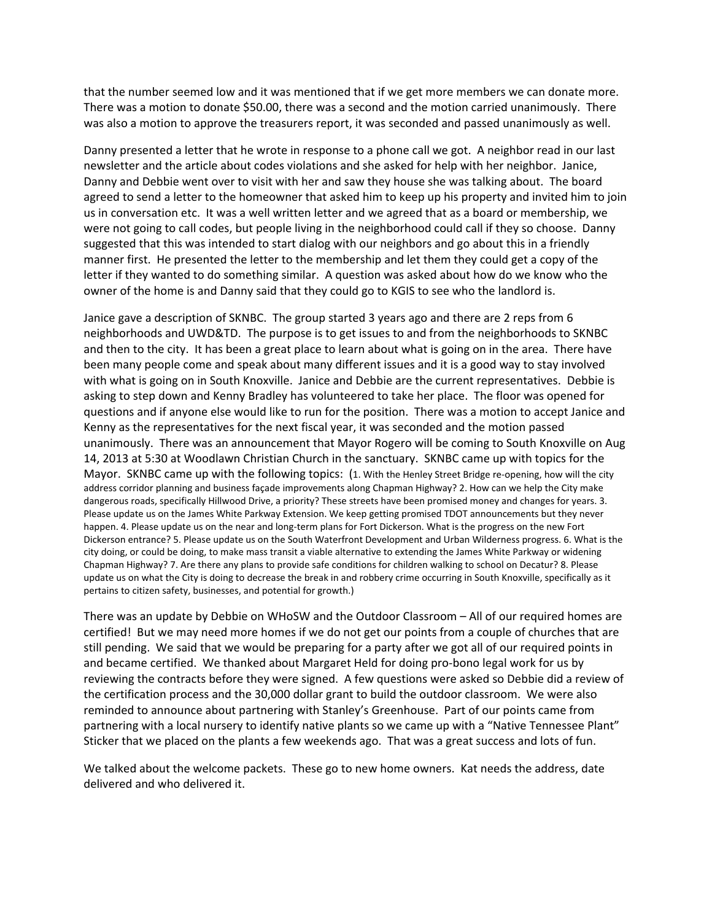that the number seemed low and it was mentioned that if we get more members we can donate more. There was a motion to donate \$50.00, there was a second and the motion carried unanimously. There was also a motion to approve the treasurers report, it was seconded and passed unanimously as well.

Danny presented a letter that he wrote in response to a phone call we got. A neighbor read in our last newsletter and the article about codes violations and she asked for help with her neighbor. Janice, Danny and Debbie went over to visit with her and saw they house she was talking about. The board agreed to send a letter to the homeowner that asked him to keep up his property and invited him to join us in conversation etc. It was a well written letter and we agreed that as a board or membership, we were not going to call codes, but people living in the neighborhood could call if they so choose. Danny suggested that this was intended to start dialog with our neighbors and go about this in a friendly manner first. He presented the letter to the membership and let them they could get a copy of the letter if they wanted to do something similar. A question was asked about how do we know who the owner of the home is and Danny said that they could go to KGIS to see who the landlord is.

Janice gave a description of SKNBC. The group started 3 years ago and there are 2 reps from 6 neighborhoods and UWD&TD. The purpose is to get issues to and from the neighborhoods to SKNBC and then to the city. It has been a great place to learn about what is going on in the area. There have been many people come and speak about many different issues and it is a good way to stay involved with what is going on in South Knoxville. Janice and Debbie are the current representatives. Debbie is asking to step down and Kenny Bradley has volunteered to take her place. The floor was opened for questions and if anyone else would like to run for the position. There was a motion to accept Janice and Kenny as the representatives for the next fiscal year, it was seconded and the motion passed unanimously. There was an announcement that Mayor Rogero will be coming to South Knoxville on Aug 14, 2013 at 5:30 at Woodlawn Christian Church in the sanctuary. SKNBC came up with topics for the Mayor. SKNBC came up with the following topics: (1. With the Henley Street Bridge re-opening, how will the city address corridor planning and business facade improvements along Chapman Highway? 2. How can we help the City make dangerous roads, specifically Hillwood Drive, a priority? These streets have been promised money and changes for years. 3. Please update us on the James White Parkway Extension. We keep getting promised TDOT announcements but they never happen. 4. Please update us on the near and long-term plans for Fort Dickerson. What is the progress on the new Fort Dickerson entrance? 5. Please update us on the South Waterfront Development and Urban Wilderness progress. 6. What is the city doing, or could be doing, to make mass transit a viable alternative to extending the James White Parkway or widening Chapman Highway? 7. Are there any plans to provide safe conditions for children walking to school on Decatur? 8. Please update us on what the City is doing to decrease the break in and robbery crime occurring in South Knoxville, specifically as it pertains to citizen safety, businesses, and potential for growth.)

There was an update by Debbie on WHoSW and the Outdoor Classroom – All of our required homes are certified! But we may need more homes if we do not get our points from a couple of churches that are still pending. We said that we would be preparing for a party after we got all of our required points in and became certified. We thanked about Margaret Held for doing pro-bono legal work for us by reviewing the contracts before they were signed. A few questions were asked so Debbie did a review of the certification process and the 30,000 dollar grant to build the outdoor classroom. We were also reminded to announce about partnering with Stanley's Greenhouse. Part of our points came from partnering with a local nursery to identify native plants so we came up with a "Native Tennessee Plant" Sticker that we placed on the plants a few weekends ago. That was a great success and lots of fun.

We talked about the welcome packets. These go to new home owners. Kat needs the address, date delivered and who delivered it.